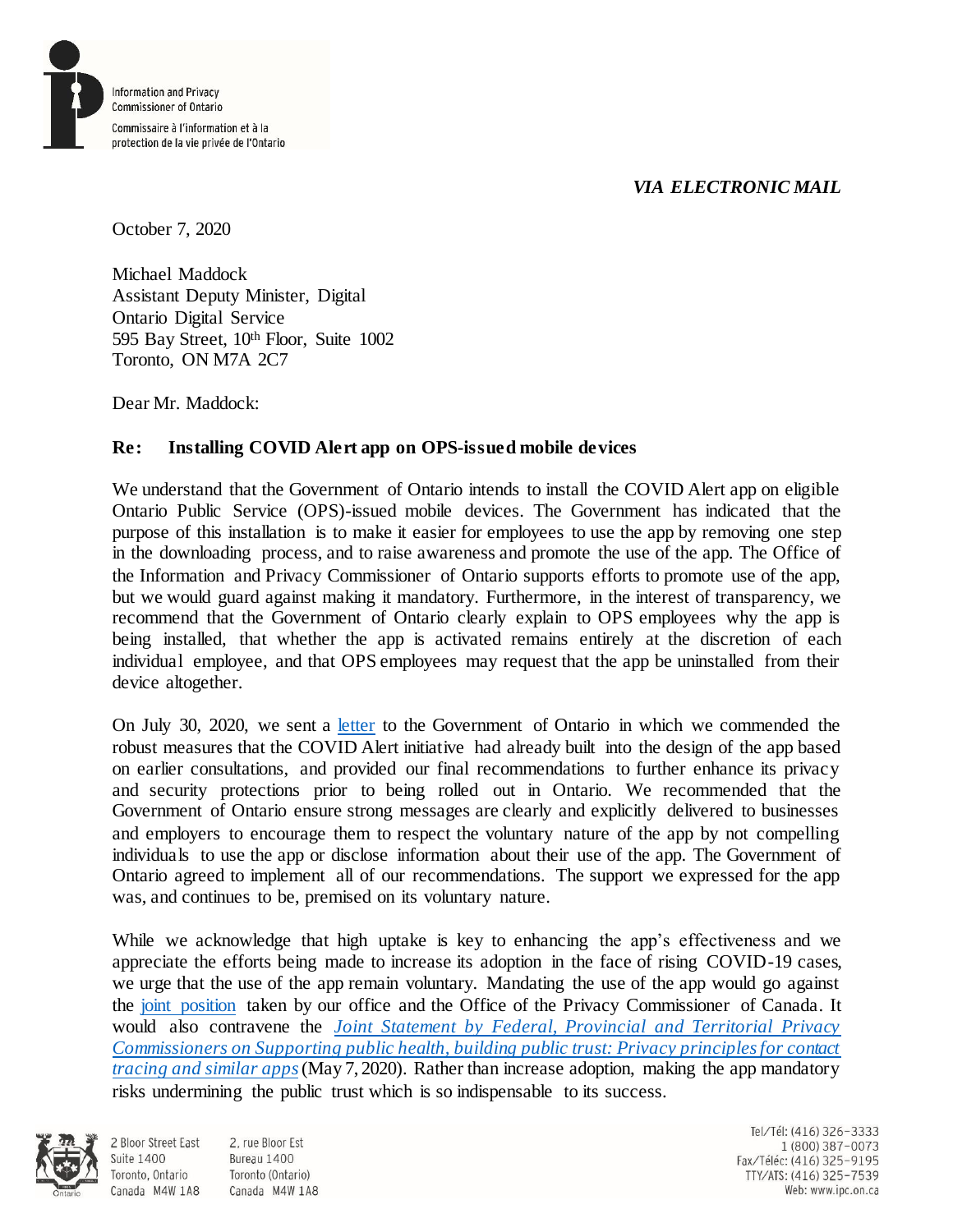## *VIA ELECTRONIC MAIL*



October 7, 2020

Michael Maddock Assistant Deputy Minister, Digital Ontario Digital Service 595 Bay Street, 10th Floor, Suite 1002 Toronto, ON M7A 2C7

Dear Mr. Maddock:

## **Re: Installing COVID Alert app on OPS-issued mobile devices**

We understand that the Government of Ontario intends to install the COVID Alert app on eligible Ontario Public Service (OPS)-issued mobile devices. The Government has indicated that the purpose of this installation is to make it easier for employees to use the app by removing one step in the downloading process, and to raise awareness and promote the use of the app. The Office of the Information and Privacy Commissioner of Ontario supports efforts to promote use of the app, but we would guard against making it mandatory. Furthermore, in the interest of transparency, we recommend that the Government of Ontario clearly explain to OPS employees why the app is being installed, that whether the app is activated remains entirely at the discretion of each individual employee, and that OPS employees may request that the app be uninstalled from their device altogether.

On July 30, 2020, we sent a [letter](https://www.ipc.on.ca/wp-content/uploads/2020/07/2020-07-30-ltr-michael-maddock-re-ipc-recommendations-to-the-government-of-ontario-regarding-covid-alert.pdf) to the Government of Ontario in which we commended the robust measures that the COVID Alert initiative had already built into the design of the app based on earlier consultations, and provided our final recommendations to further enhance its privacy and security protections prior to being rolled out in Ontario. We recommended that the Government of Ontario ensure strong messages are clearly and explicitly delivered to businesses and employers to encourage them to respect the voluntary nature of the app by not compelling individuals to use the app or disclose information about their use of the app. The Government of Ontario agreed to implement all of our recommendations. The support we expressed for the app was, and continues to be, premised on its voluntary nature.

While we acknowledge that high uptake is key to enhancing the app's effectiveness and we appreciate the efforts being made to increase its adoption in the face of rising COVID-19 cases, we urge that the use of the app remain voluntary. Mandating the use of the app would go against the [joint position](https://www.priv.gc.ca/en/opc-news/news-and-announcements/2020/nr-c_200731/) taken by our office and the Office of the Privacy Commissioner of Canada. It would also contravene the *[Joint Statement by Federal, Provincial and Territorial Privacy](https://www.ipc.on.ca/newsrelease/supporting-public-health-building-public-trust-privacy-principles-for-contact-tracing-and-similar-apps/)  [Commissioners on Supporting public health, building public trust: Privacy principles for contact](https://www.ipc.on.ca/newsrelease/supporting-public-health-building-public-trust-privacy-principles-for-contact-tracing-and-similar-apps/)  [tracing and similar apps](https://www.ipc.on.ca/newsrelease/supporting-public-health-building-public-trust-privacy-principles-for-contact-tracing-and-similar-apps/)*(May 7, 2020). Rather than increase adoption, making the app mandatory risks undermining the public trust which is so indispensable to its success.



**Suite 1400** 

2 Bloor Street East 2. rue Bloor Est Bureau 1400 Toronto, Ontario Toronto (Ontario) Canada M4W 1A8 Canada M4W 1A8

Tel/Tél: (416) 326-3333 1 (800) 387-0073 Fax/Téléc: (416) 325-9195 TTY/ATS: (416) 325-7539 Web: www.ipc.on.ca